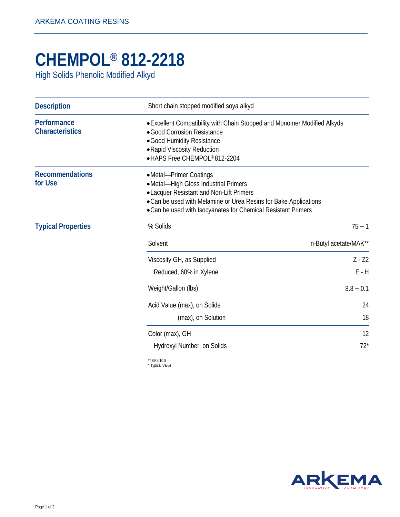## **CHEMPOL® 812-2218**

High Solids Phenolic Modified Alkyd

| <b>Description</b>                    | Short chain stopped modified soya alkyd                                                                                                                                                                                                         |                       |
|---------------------------------------|-------------------------------------------------------------------------------------------------------------------------------------------------------------------------------------------------------------------------------------------------|-----------------------|
| Performance<br><b>Characteristics</b> | • Excellent Compatibility with Chain Stopped and Monomer Modified Alkyds<br>· Good Corrosion Resistance<br>· Good Humidity Resistance<br>• Rapid Viscosity Reduction<br>• HAPS Free CHEMPOL® 812-2204                                           |                       |
| <b>Recommendations</b><br>for Use     | •Metal-Primer Coatings<br>•Metal-High Gloss Industrial Primers<br>• Lacquer Resistant and Non-Lift Primers<br>• Can be used with Melamine or Urea Resins for Bake Applications<br>• Can be used with Isocyanates for Chemical Resistant Primers |                       |
| <b>Typical Properties</b>             | % Solids                                                                                                                                                                                                                                        | $75 \pm 1$            |
|                                       | Solvent                                                                                                                                                                                                                                         | n-Butyl acetate/MAK** |
|                                       | Viscosity GH, as Supplied<br>Reduced, 60% in Xylene                                                                                                                                                                                             | $Z - Z2$<br>$E - H$   |
|                                       | Weight/Gallon (lbs)                                                                                                                                                                                                                             | $8.8 \pm 0.1$         |
|                                       | Acid Value (max), on Solids<br>(max), on Solution                                                                                                                                                                                               | 24<br>18              |
|                                       | Color (max), GH<br>Hydroxyl Number, on Solids                                                                                                                                                                                                   | 12<br>$72*$           |
|                                       | ** 89.2/10.8                                                                                                                                                                                                                                    |                       |

\* Typical Value